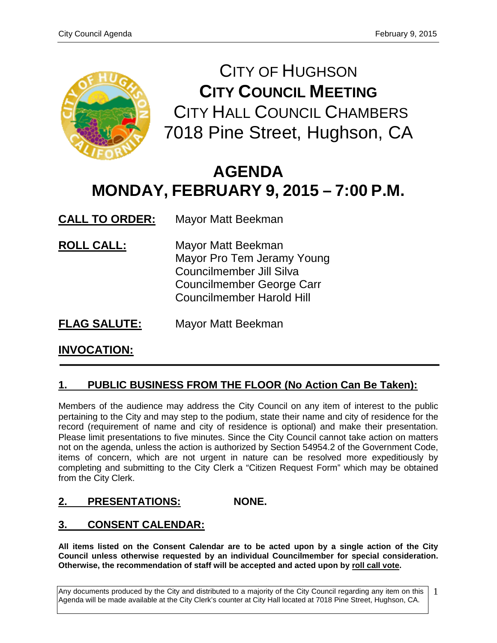

CITY OF HUGHSON **CITY COUNCIL MEETING** CITY HALL COUNCIL CHAMBERS 7018 Pine Street, Hughson, CA

# **AGENDA MONDAY, FEBRUARY 9, 2015 – 7:00 P.M.**

**CALL TO ORDER:** Mayor Matt Beekman

- **ROLL CALL:** Mayor Matt Beekman Mayor Pro Tem Jeramy Young Councilmember Jill Silva Councilmember George Carr Councilmember Harold Hill
- **FLAG SALUTE:** Mayor Matt Beekman

# **INVOCATION:**

# **1. PUBLIC BUSINESS FROM THE FLOOR (No Action Can Be Taken):**

Members of the audience may address the City Council on any item of interest to the public pertaining to the City and may step to the podium, state their name and city of residence for the record (requirement of name and city of residence is optional) and make their presentation. Please limit presentations to five minutes. Since the City Council cannot take action on matters not on the agenda, unless the action is authorized by Section 54954.2 of the Government Code, items of concern, which are not urgent in nature can be resolved more expeditiously by completing and submitting to the City Clerk a "Citizen Request Form" which may be obtained from the City Clerk.

# **2. PRESENTATIONS: NONE.**

# **3. CONSENT CALENDAR:**

**All items listed on the Consent Calendar are to be acted upon by a single action of the City Council unless otherwise requested by an individual Councilmember for special consideration. Otherwise, the recommendation of staff will be accepted and acted upon by roll call vote.**

Any documents produced by the City and distributed to a majority of the City Council regarding any item on this Agenda will be made available at the City Clerk's counter at City Hall located at 7018 Pine Street, Hughson, CA. 1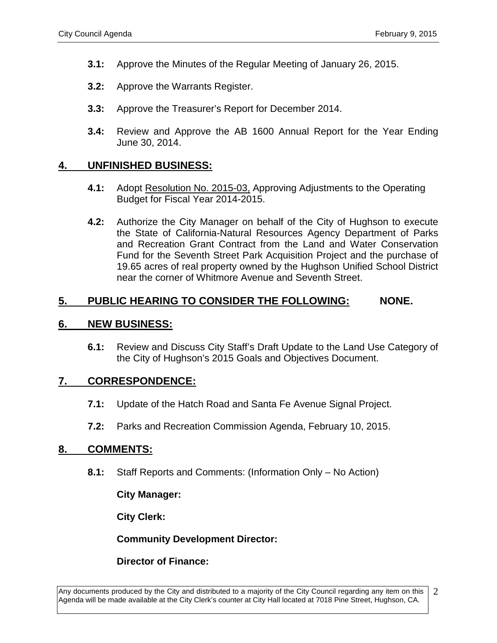- **3.1:** Approve the Minutes of the Regular Meeting of January 26, 2015.
- **3.2:** Approve the Warrants Register.
- **3.3:** Approve the Treasurer's Report for December 2014.
- **3.4:** Review and Approve the AB 1600 Annual Report for the Year Ending June 30, 2014.

## **4. UNFINISHED BUSINESS:**

- **4.1:** Adopt Resolution No. 2015-03, Approving Adjustments to the Operating Budget for Fiscal Year 2014-2015.
- **4.2:** Authorize the City Manager on behalf of the City of Hughson to execute the State of California-Natural Resources Agency Department of Parks and Recreation Grant Contract from the Land and Water Conservation Fund for the Seventh Street Park Acquisition Project and the purchase of 19.65 acres of real property owned by the Hughson Unified School District near the corner of Whitmore Avenue and Seventh Street.

## **5. PUBLIC HEARING TO CONSIDER THE FOLLOWING: NONE.**

#### **6. NEW BUSINESS:**

**6.1:** Review and Discuss City Staff's Draft Update to the Land Use Category of the City of Hughson's 2015 Goals and Objectives Document.

## **7. CORRESPONDENCE:**

- **7.1:** Update of the Hatch Road and Santa Fe Avenue Signal Project.
- **7.2:** Parks and Recreation Commission Agenda, February 10, 2015.

## **8. COMMENTS:**

**8.1:** Staff Reports and Comments: (Information Only – No Action)

**City Manager:** 

**City Clerk:**

**Community Development Director:**

**Director of Finance:**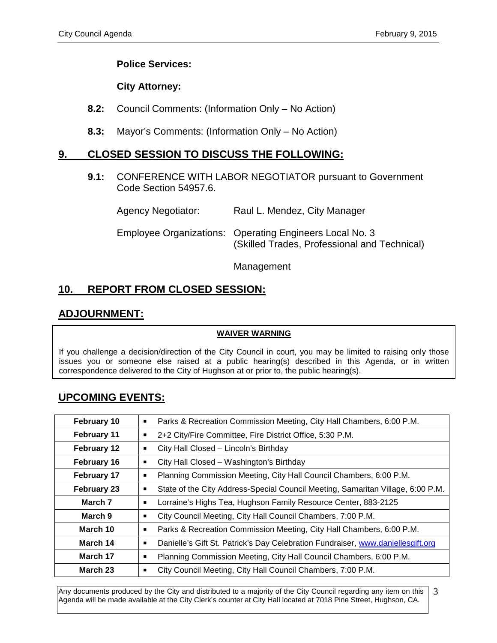## **Police Services:**

## **City Attorney:**

- **8.2:** Council Comments: (Information Only No Action)
- **8.3:** Mayor's Comments: (Information Only No Action)

## **9. CLOSED SESSION TO DISCUSS THE FOLLOWING:**

**9.1:** CONFERENCE WITH LABOR NEGOTIATOR pursuant to Government Code Section 54957.6.

| Agency Negotiator: | Raul L. Mendez, City Manager                                                                            |
|--------------------|---------------------------------------------------------------------------------------------------------|
|                    | Employee Organizations: Operating Engineers Local No. 3<br>(Skilled Trades, Professional and Technical) |

Management

## **10. REPORT FROM CLOSED SESSION:**

# **ADJOURNMENT:**

#### **WAIVER WARNING**

If you challenge a decision/direction of the City Council in court, you may be limited to raising only those issues you or someone else raised at a public hearing(s) described in this Agenda, or in written correspondence delivered to the City of Hughson at or prior to, the public hearing(s).

## **UPCOMING EVENTS:**

| February 10        | Parks & Recreation Commission Meeting, City Hall Chambers, 6:00 P.M.<br>п            |  |
|--------------------|--------------------------------------------------------------------------------------|--|
| February 11        | 2+2 City/Fire Committee, Fire District Office, 5:30 P.M.<br>п                        |  |
| February 12        | City Hall Closed - Lincoln's Birthday<br>п                                           |  |
| <b>February 16</b> | City Hall Closed - Washington's Birthday<br>п                                        |  |
| <b>February 17</b> | Planning Commission Meeting, City Hall Council Chambers, 6:00 P.M.<br>п              |  |
| <b>February 23</b> | State of the City Address-Special Council Meeting, Samaritan Village, 6:00 P.M.<br>п |  |
| March 7            | Lorraine's Highs Tea, Hughson Family Resource Center, 883-2125<br>■                  |  |
| March 9            | City Council Meeting, City Hall Council Chambers, 7:00 P.M.<br>п                     |  |
| March 10           | Parks & Recreation Commission Meeting, City Hall Chambers, 6:00 P.M.<br>■            |  |
| March 14           | Danielle's Gift St. Patrick's Day Celebration Fundraiser, www.daniellesgift.org<br>п |  |
| March 17           | Planning Commission Meeting, City Hall Council Chambers, 6:00 P.M.<br>п              |  |
| March 23           | City Council Meeting, City Hall Council Chambers, 7:00 P.M.<br>■                     |  |

Any documents produced by the City and distributed to a majority of the City Council regarding any item on this Agenda will be made available at the City Clerk's counter at City Hall located at 7018 Pine Street, Hughson, CA. 3